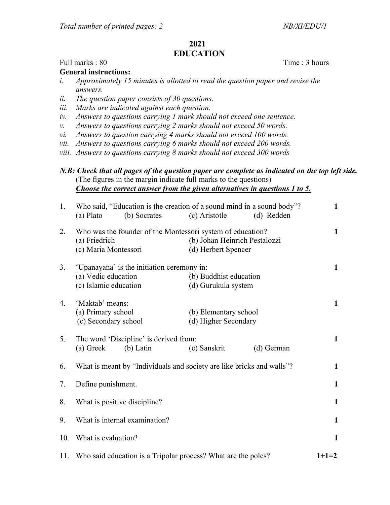## 2021 EDUCATION

## Full marks : 80 Time : 3 hours

General instructions:

- i. Approximately 15 minutes is allotted to read the question paper and revise the answers.
- ii. The question paper consists of 30 questions.
- iii. Marks are indicated against each question.
- iv. Answers to questions carrying 1 mark should not exceed one sentence.
- v. Answers to questions carrying 2 marks should not exceed 50 words.
- vi. Answers to question carrying 4 marks should not exceed 100 words.
- vii. Answers to questions carrying 6 marks should not exceed 200 words.
- viii. Answers to questions carrying 8 marks should not exceed 300 words

## N.B: Check that all pages of the question paper are complete as indicated on the top left side. (The figures in the margin indicate full marks to the questions) Choose the correct answer from the given alternatives in questions 1 to 5.

| 1.  | Who said, "Education is the creation of a sound mind in a sound body"?<br>(b) Socrates<br>(a) Plato | (c) Aristotle                                        | (d) Redden | $\mathbf{1}$ |
|-----|-----------------------------------------------------------------------------------------------------|------------------------------------------------------|------------|--------------|
| 2.  | Who was the founder of the Montessori system of education?<br>(a) Friedrich<br>(c) Maria Montessori | (b) Johan Heinrich Pestalozzi<br>(d) Herbert Spencer |            | $\mathbf{1}$ |
| 3.  | 'Upanayana' is the initiation ceremony in:<br>(a) Vedic education<br>(c) Islamic education          | (b) Buddhist education<br>(d) Gurukula system        |            | $\mathbf{1}$ |
| 4.  | 'Maktab' means:<br>(a) Primary school<br>(c) Secondary school                                       | (b) Elementary school<br>(d) Higher Secondary        |            | $\mathbf{1}$ |
| 5.  | The word 'Discipline' is derived from:<br>(a) Greek<br>$(b)$ Latin                                  | (c) Sanskrit                                         | (d) German | $\mathbf{1}$ |
| 6.  | What is meant by "Individuals and society are like bricks and walls"?                               |                                                      |            |              |
| 7.  | Define punishment.                                                                                  |                                                      |            | $\mathbf{1}$ |
| 8.  | What is positive discipline?                                                                        |                                                      |            | $\mathbf{1}$ |
| 9.  | What is internal examination?                                                                       |                                                      |            | $\mathbf{1}$ |
| 10. | What is evaluation?                                                                                 |                                                      |            |              |
|     | 11. Who said education is a Tripolar process? What are the poles?                                   |                                                      |            | $1+1=2$      |